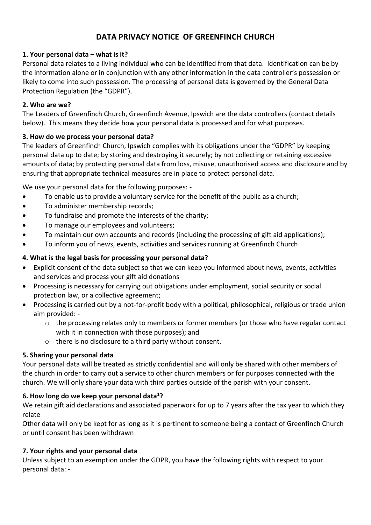# **DATA PRIVACY NOTICE OF GREENFINCH CHURCH**

## **1. Your personal data – what is it?**

Personal data relates to a living individual who can be identified from that data. Identification can be by the information alone or in conjunction with any other information in the data controller's possession or likely to come into such possession. The processing of personal data is governed by the General Data Protection Regulation (the "GDPR").

#### **2. Who are we?**

The Leaders of Greenfinch Church, Greenfinch Avenue, Ipswich are the data controllers (contact details below). This means they decide how your personal data is processed and for what purposes.

## **3. How do we process your personal data?**

The leaders of Greenfinch Church, Ipswich complies with its obligations under the "GDPR" by keeping personal data up to date; by storing and destroying it securely; by not collecting or retaining excessive amounts of data; by protecting personal data from loss, misuse, unauthorised access and disclosure and by ensuring that appropriate technical measures are in place to protect personal data.

We use your personal data for the following purposes: -

- To enable us to provide a voluntary service for the benefit of the public as a church;
- To administer membership records;
- To fundraise and promote the interests of the charity:
- To manage our employees and volunteers;
- To maintain our own accounts and records (including the processing of gift aid applications);
- To inform you of news, events, activities and services running at Greenfinch Church

## **4. What is the legal basis for processing your personal data?**

- Explicit consent of the data subject so that we can keep you informed about news, events, activities and services and process your gift aid donations
- Processing is necessary for carrying out obligations under employment, social security or social protection law, or a collective agreement;
- Processing is carried out by a not-for-profit body with a political, philosophical, religious or trade union aim provided: -
	- $\circ$  the processing relates only to members or former members (or those who have regular contact with it in connection with those purposes); and
	- o there is no disclosure to a third party without consent.

#### **5. Sharing your personal data**

Your personal data will be treated as strictly confidential and will only be shared with other members of the church in order to carry out a service to other church members or for purposes connected with the church. We will only share your data with third parties outside of the parish with your consent.

#### **6. How long do we keep your personal data<sup>1</sup>?**

We retain gift aid declarations and associated paperwork for up to 7 years after the tax year to which they relate

Other data will only be kept for as long as it is pertinent to someone being a contact of Greenfinch Church or until consent has been withdrawn

#### **7. Your rights and your personal data**

1

Unless subject to an exemption under the GDPR, you have the following rights with respect to your personal data: -